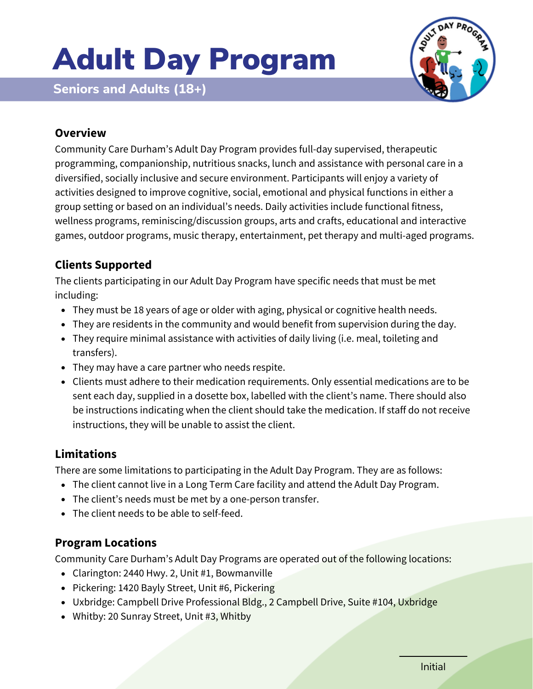# Adult Day Program



**Seniors and Adults (18+)**

# **Overview**

Community Care Durham's Adult Day Program provides full-day supervised, therapeutic programming, companionship, nutritious snacks, lunch and assistance with personal care in a diversified, socially inclusive and secure environment. Participants will enjoy a variety of activities designed to improve cognitive, social, emotional and physical functions in either a group setting or based on an individual's needs. Daily activities include functional fitness, wellness programs, reminiscing/discussion groups, arts and crafts, educational and interactive games, outdoor programs, music therapy, entertainment, pet therapy and multi-aged programs.

## **Clients Supported**

The clients participating in our Adult Day Program have specific needs that must be met including:

- They must be 18 years of age or older with aging, physical or cognitive health needs.
- They are residents in the community and would benefit from supervision during the day.
- They require minimal assistance with activities of daily living (i.e. meal, toileting and transfers).
- They may have a care partner who needs respite.
- Clients must adhere to their medication requirements. Only essential medications are to be sent each day, supplied in a dosette box, labelled with the client's name. There should also be instructions indicating when the client should take the medication. If staff do not receive instructions, they will be unable to assist the client.

## **Limitations**

There are some limitations to participating in the Adult Day Program. They are as follows:

- The client cannot live in a Long Term Care facility and attend the Adult Day Program.
- The client's needs must be met by a one-person transfer.
- The client needs to be able to self-feed.

#### **Program Locations**

Community Care Durham's Adult Day Programs are operated out of the following locations:

- Clarington: 2440 Hwy. 2, Unit #1, Bowmanville
- Pickering: 1420 Bayly Street, Unit #6, Pickering
- Uxbridge: Campbell Drive Professional Bldg., 2 Campbell Drive, Suite #104, Uxbridge
- Whitby: 20 Sunray Street, Unit #3, Whitby